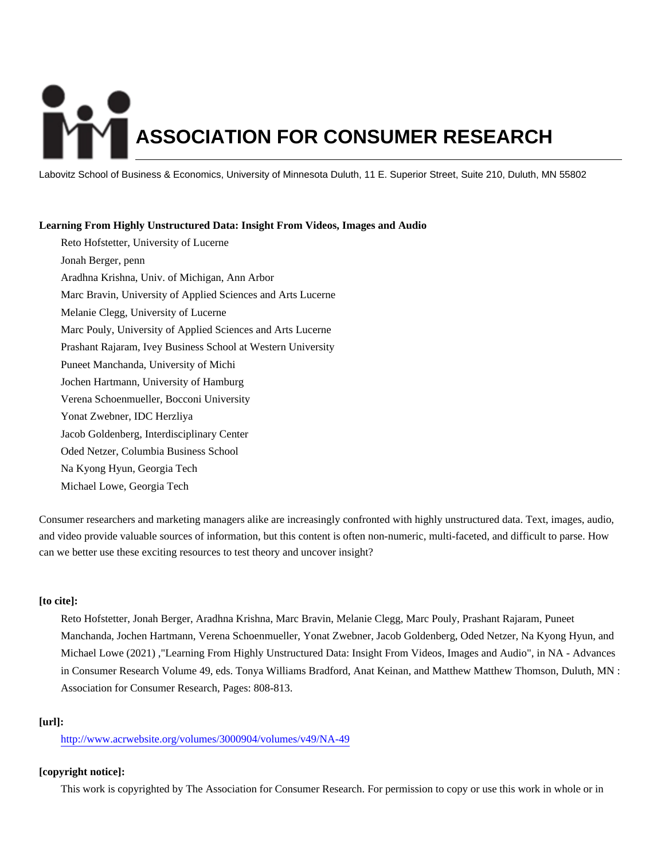# **ASSOCIATION FOR CONSUMER RESEARCH**

Labovitz School of Business & Economics, University of Minnesota Duluth, 11 E. Superior Street, Suite 210, Duluth, MN 55802

# **Learning From Highly Unstructured Data: Insight From Videos, Images and Audio**

Reto Hofstetter, University of Lucerne Jonah Berger, penn Aradhna Krishna, Univ. of Michigan, Ann Arbor Marc Bravin, University of Applied Sciences and Arts Lucerne Melanie Clegg, University of Lucerne Marc Pouly, University of Applied Sciences and Arts Lucerne Prashant Rajaram, Ivey Business School at Western University Puneet Manchanda, University of Michi Jochen Hartmann, University of Hamburg Verena Schoenmueller, Bocconi University Yonat Zwebner, IDC Herzliya Jacob Goldenberg, Interdisciplinary Center Oded Netzer, Columbia Business School Na Kyong Hyun, Georgia Tech Michael Lowe, Georgia Tech

Consumer researchers and marketing managers alike are increasingly confronted with highly unstructured data. Text, images, audio, and video provide valuable sources of information, but this content is often non-numeric, multi-faceted, and difficult to parse. How can we better use these exciting resources to test theory and uncover insight?

# **[to cite]:**

Reto Hofstetter, Jonah Berger, Aradhna Krishna, Marc Bravin, Melanie Clegg, Marc Pouly, Prashant Rajaram, Puneet Manchanda, Jochen Hartmann, Verena Schoenmueller, Yonat Zwebner, Jacob Goldenberg, Oded Netzer, Na Kyong Hyun, and Michael Lowe (2021) ,"Learning From Highly Unstructured Data: Insight From Videos, Images and Audio", in NA - Advances in Consumer Research Volume 49, eds. Tonya Williams Bradford, Anat Keinan, and Matthew Matthew Thomson, Duluth, MN : Association for Consumer Research, Pages: 808-813.

# **[url]:**

<http://www.acrwebsite.org/volumes/3000904/volumes/v49/NA-49>

# **[copyright notice]:**

This work is copyrighted by The Association for Consumer Research. For permission to copy or use this work in whole or in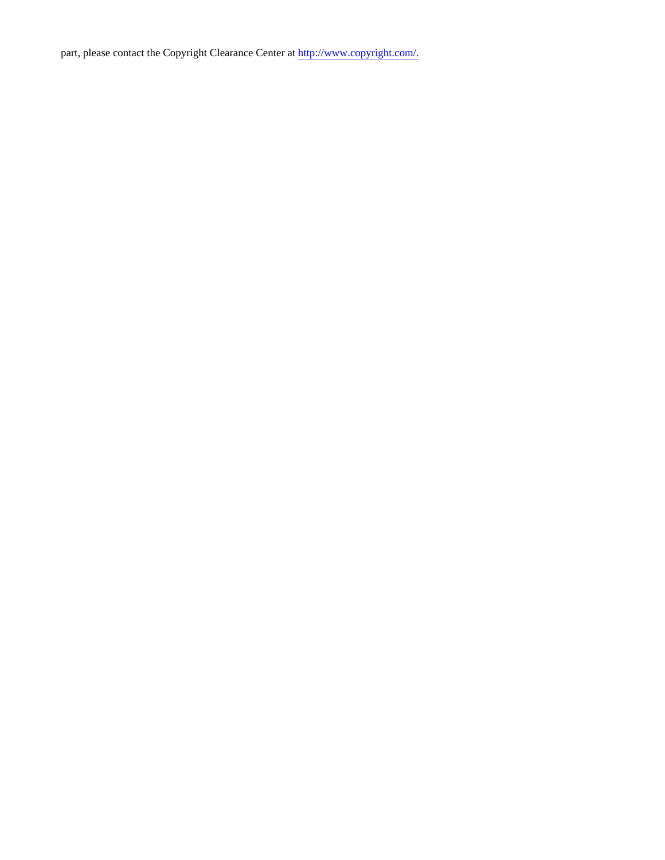part, please contact the Copyright Clearance Center at [http://www.copyright.com/.](http://www.copyright.com/)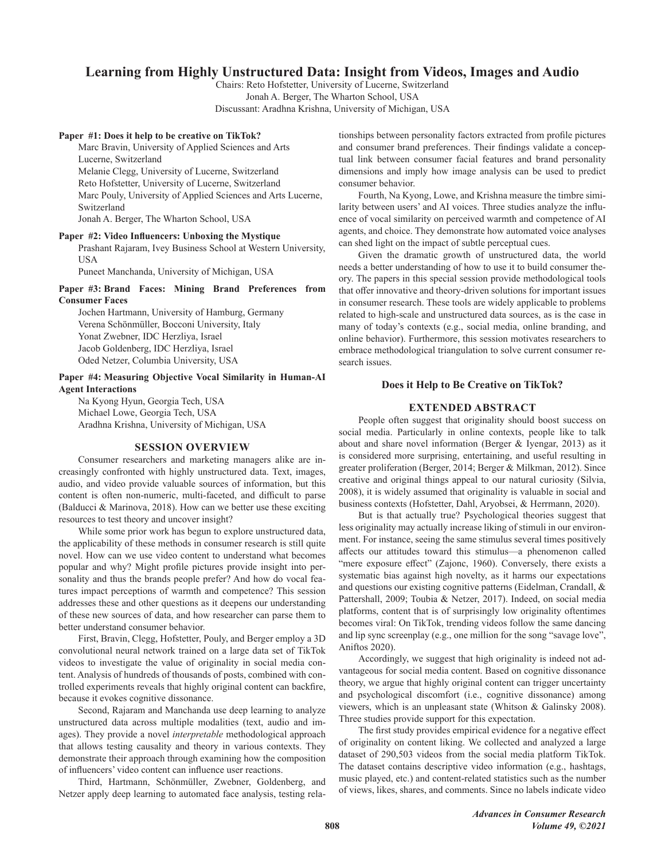# Learning from Highly Unstructured Data: Insight from Videos, Images and Audio

Chairs: Reto Hofstetter, University of Lucerne, Switzerland Jonah A. Berger, The Wharton School, USA Discussant: Aradhna Krishna, University of Michigan, USA

### Paper #1: Does it help to be creative on TikTok?

Marc Bravin, University of Applied Sciences and Arts Lucerne, Switzerland Melanie Clegg, University of Lucerne, Switzerland Reto Hofstetter, University of Lucerne, Switzerland Marc Pouly, University of Applied Sciences and Arts Lucerne, Switzerland Jonah A. Berger, The Wharton School, USA

Paper #2: Video Influencers: Unboxing the Mystique

Prashant Rajaram, Ivey Business School at Western University, **USA** 

Puneet Manchanda, University of Michigan, USA

### Paper #3: Brand Faces: Mining Brand Preferences from **Consumer Faces**

Jochen Hartmann, University of Hamburg, Germany Verena Schönmüller, Bocconi University, Italy Yonat Zwebner, IDC Herzliya, Israel Jacob Goldenberg, IDC Herzliya, Israel Oded Netzer, Columbia University, USA

Paper #4: Measuring Objective Vocal Similarity in Human-AI **Agent Interactions** 

Na Kyong Hyun, Georgia Tech, USA Michael Lowe, Georgia Tech, USA Aradhna Krishna, University of Michigan, USA

# **SESSION OVERVIEW**

Consumer researchers and marketing managers alike are increasingly confronted with highly unstructured data. Text, images, audio, and video provide valuable sources of information, but this content is often non-numeric, multi-faceted, and difficult to parse (Balducci & Marinova, 2018). How can we better use these exciting resources to test theory and uncover insight?

While some prior work has begun to explore unstructured data, the applicability of these methods in consumer research is still quite novel. How can we use video content to understand what becomes popular and why? Might profile pictures provide insight into personality and thus the brands people prefer? And how do vocal features impact perceptions of warmth and competence? This session addresses these and other questions as it deepens our understanding of these new sources of data, and how researcher can parse them to better understand consumer behavior.

First, Bravin, Clegg, Hofstetter, Pouly, and Berger employ a 3D convolutional neural network trained on a large data set of TikTok videos to investigate the value of originality in social media content. Analysis of hundreds of thousands of posts, combined with controlled experiments reveals that highly original content can backfire, because it evokes cognitive dissonance.

Second, Rajaram and Manchanda use deep learning to analyze unstructured data across multiple modalities (text, audio and images). They provide a novel interpretable methodological approach that allows testing causality and theory in various contexts. They demonstrate their approach through examining how the composition of influencers' video content can influence user reactions.

Third, Hartmann, Schönmüller, Zwebner, Goldenberg, and Netzer apply deep learning to automated face analysis, testing relationships between personality factors extracted from profile pictures and consumer brand preferences. Their findings validate a conceptual link between consumer facial features and brand personality dimensions and imply how image analysis can be used to predict consumer behavior.

Fourth, Na Kyong, Lowe, and Krishna measure the timbre similarity between users' and AI voices. Three studies analyze the influence of vocal similarity on perceived warmth and competence of AI agents, and choice. They demonstrate how automated voice analyses can shed light on the impact of subtle perceptual cues.

Given the dramatic growth of unstructured data, the world needs a better understanding of how to use it to build consumer theory. The papers in this special session provide methodological tools that offer innovative and theory-driven solutions for important issues in consumer research. These tools are widely applicable to problems related to high-scale and unstructured data sources, as is the case in many of today's contexts (e.g., social media, online branding, and online behavior). Furthermore, this session motivates researchers to embrace methodological triangulation to solve current consumer research issues.

### Does it Help to Be Creative on TikTok?

## **EXTENDED ABSTRACT**

People often suggest that originality should boost success on social media. Particularly in online contexts, people like to talk about and share novel information (Berger & Iyengar, 2013) as it is considered more surprising, entertaining, and useful resulting in greater proliferation (Berger, 2014; Berger & Milkman, 2012). Since creative and original things appeal to our natural curiosity (Silvia, 2008), it is widely assumed that originality is valuable in social and business contexts (Hofstetter, Dahl, Aryobsei, & Herrmann, 2020).

But is that actually true? Psychological theories suggest that less originality may actually increase liking of stimuli in our environment. For instance, seeing the same stimulus several times positively affects our attitudes toward this stimulus-a phenomenon called "mere exposure effect" (Zajonc, 1960). Conversely, there exists a systematic bias against high novelty, as it harms our expectations and questions our existing cognitive patterns (Eidelman, Crandall, & Pattershall, 2009; Toubia & Netzer, 2017). Indeed, on social media platforms, content that is of surprisingly low originality oftentimes becomes viral: On TikTok, trending videos follow the same dancing and lip sync screenplay (e.g., one million for the song "savage love", Aniftos 2020).

Accordingly, we suggest that high originality is indeed not advantageous for social media content. Based on cognitive dissonance theory, we argue that highly original content can trigger uncertainty and psychological discomfort (i.e., cognitive dissonance) among viewers, which is an unpleasant state (Whitson & Galinsky 2008). Three studies provide support for this expectation.

The first study provides empirical evidence for a negative effect of originality on content liking. We collected and analyzed a large dataset of 290,503 videos from the social media platform TikTok. The dataset contains descriptive video information (e.g., hashtags, music played, etc.) and content-related statistics such as the number of views, likes, shares, and comments. Since no labels indicate video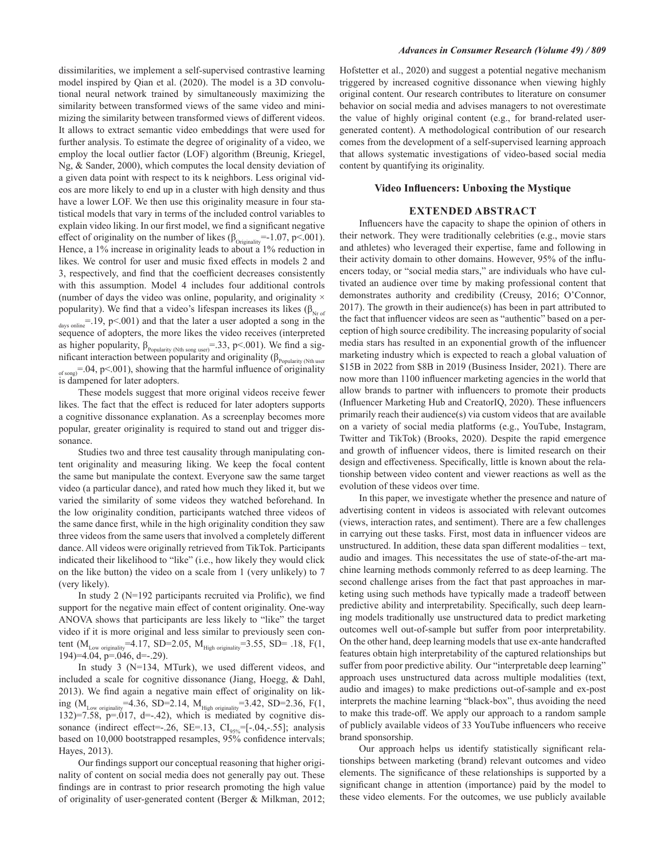dissimilarities, we implement a self-supervised contrastive learning model inspired by Qian et al. (2020). The model is a 3D convolutional neural network trained by simultaneously maximizing the similarity between transformed views of the same video and minimizing the similarity between transformed views of different videos. It allows to extract semantic video embeddings that were used for further analysis. To estimate the degree of originality of a video, we employ the local outlier factor (LOF) algorithm (Breunig, Kriegel, Ng, & Sander, 2000), which computes the local density deviation of a given data point with respect to its k neighbors. Less original videos are more likely to end up in a cluster with high density and thus have a lower LOF. We then use this originality measure in four statistical models that vary in terms of the included control variables to explain video liking. In our first model, we find a significant negative effect of originality on the number of likes ( $\beta_{\text{originality}} = -1.07$ , p<.001). Hence, a 1% increase in originality leads to about a 1% reduction in likes. We control for user and music fixed effects in models 2 and 3, respectively, and find that the coefficient decreases consistently with this assumption. Model 4 includes four additional controls (number of days the video was online, popularity, and originality × popularity). We find that a video's lifespan increases its likes ( $\beta_{Nr \text{ of }}$  $_{\text{days online}}$ =.19, p<.001) and that the later a user adopted a song in the sequence of adopters, the more likes the video receives (interpreted as higher popularity,  $\beta_{\text{Popularity (Nth song user)}} = .33$ , p<.001). We find a significant interaction between popularity and originality ( $\beta_{\text{Popularity (Nth user)}}$  $\sigma_{\text{strong}}$  = 04, p< 001), showing that the harmful influence of originality is dampened for later adopters.

These models suggest that more original videos receive fewer likes. The fact that the effect is reduced for later adopters supports a cognitive dissonance explanation. As a screenplay becomes more popular, greater originality is required to stand out and trigger dissonance.

Studies two and three test causality through manipulating content originality and measuring liking. We keep the focal content the same but manipulate the context. Everyone saw the same target video (a particular dance), and rated how much they liked it, but we varied the similarity of some videos they watched beforehand. In the low originality condition, participants watched three videos of the same dance first, while in the high originality condition they saw three videos from the same users that involved a completely different dance. All videos were originally retrieved from TikTok. Participants indicated their likelihood to "like" (i.e., how likely they would click on the like button) the video on a scale from 1 (very unlikely) to 7 (very likely).

In study  $2$  (N=192 participants recruited via Prolific), we find support for the negative main effect of content originality. One-way ANOVA shows that participants are less likely to "like" the target video if it is more original and less similar to previously seen content ( $M_{Low \text{ originality}}$ =4.17, SD=2.05,  $M_{Hich \text{ originality}}$ =3.55, SD= .18, F(1, 194 $=$ 4.04, p=.046, d=-.29).

In study 3 (N=134, MTurk), we used different videos, and included a scale for cognitive dissonance (Jiang, Hoegg, & Dahl, 2013). We find again a negative main effect of originality on liking ( $M_{Low \text{ originally}} = 4.36$ , SD=2.14,  $M_{High \text{ originally}} = 3.42$ , SD=2.36, F(1, 132)=7.58, p=.017, d=-.42), which is mediated by cognitive dissonance (indirect effect=-.26, SE=.13, CI<sub>95%</sub>=[-.04,-.55]; analysis based on 10,000 bootstrapped resamples, 95% confidence intervals; Hayes, 2013).

Our findings support our conceptual reasoning that higher originality of content on social media does not generally pay out. These findings are in contrast to prior research promoting the high value of originality of user-generated content (Berger & Milkman, 2012; Hofstetter et al., 2020) and suggest a potential negative mechanism triggered by increased cognitive dissonance when viewing highly original content. Our research contributes to literature on consumer behavior on social media and advises managers to not overestimate the value of highly original content (e.g., for brand-related usergenerated content). A methodological contribution of our research comes from the development of a self-supervised learning approach that allows systematic investigations of video-based social media content by quantifying its originality.

### **Video Influencers: Unboxing the Mystique**

### **EXTENDED ABSTRACT**

Influencers have the capacity to shape the opinion of others in their network. They were traditionally celebrities (e.g., movie stars and athletes) who leveraged their expertise, fame and following in their activity domain to other domains. However, 95% of the influencers today, or "social media stars," are individuals who have cultivated an audience over time by making professional content that demonstrates authority and credibility (Creusy, 2016; O'Connor,  $2017$ ). The growth in their audience(s) has been in part attributed to the fact that influencer videos are seen as "authentic" based on a perception of high source credibility. The increasing popularity of social media stars has resulted in an exponential growth of the influencer marketing industry which is expected to reach a global valuation of \$15B in 2022 from \$8B in 2019 (Business Insider, 2021). There are now more than 1100 influencer marketing agencies in the world that allow brands to partner with influencers to promote their products (Influencer Marketing Hub and CreatorIQ, 2020). These influencers primarily reach their audience(s) via custom videos that are available on a variety of social media platforms (e.g., YouTube, Instagram, Twitter and TikTok) (Brooks, 2020). Despite the rapid emergence and growth of influencer videos, there is limited research on their design and effectiveness. Specifically, little is known about the relationship between video content and viewer reactions as well as the evolution of these videos over time.

In this paper, we investigate whether the presence and nature of advertising content in videos is associated with relevant outcomes (views, interaction rates, and sentiment). There are a few challenges in carrying out these tasks. First, most data in influencer videos are unstructured. In addition, these data span different modalities - text, audio and images. This necessitates the use of state-of-the-art machine learning methods commonly referred to as deep learning. The second challenge arises from the fact that past approaches in marketing using such methods have typically made a tradeoff between predictive ability and interpretability. Specifically, such deep learning models traditionally use unstructured data to predict marketing outcomes well out-of-sample but suffer from poor interpretability. On the other hand, deep learning models that use ex-ante handcrafted features obtain high interpretability of the captured relationships but suffer from poor predictive ability. Our "interpretable deep learning" approach uses unstructured data across multiple modalities (text, audio and images) to make predictions out-of-sample and ex-post interprets the machine learning "black-box", thus avoiding the need to make this trade-off. We apply our approach to a random sample of publicly available videos of 33 YouTube influencers who receive brand sponsorship.

Our approach helps us identify statistically significant relationships between marketing (brand) relevant outcomes and video elements. The significance of these relationships is supported by a significant change in attention (importance) paid by the model to these video elements. For the outcomes, we use publicly available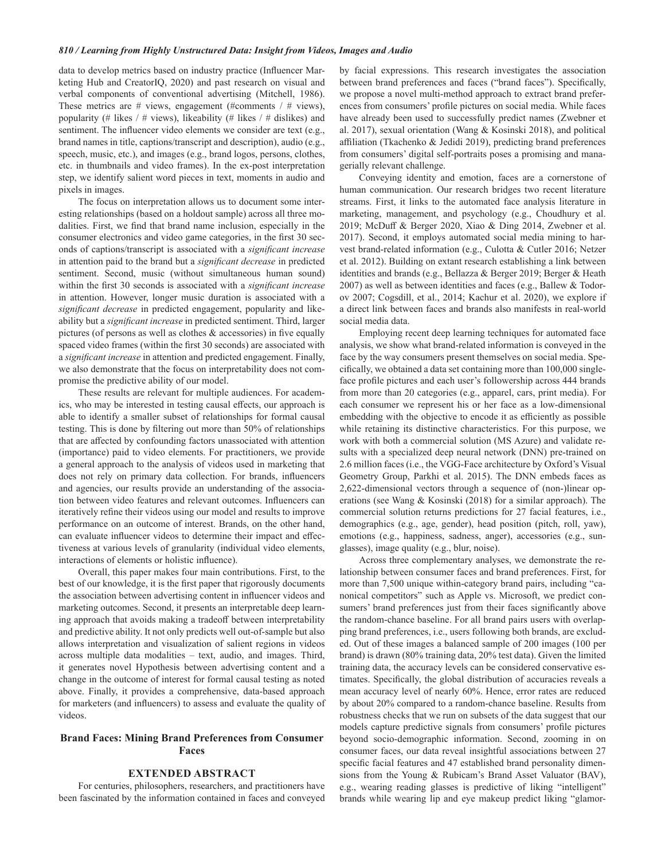### 810 / Learning from Highly Unstructured Data: Insight from Videos, Images and Audio

data to develop metrics based on industry practice (Influencer Marketing Hub and CreatorIQ, 2020) and past research on visual and verbal components of conventional advertising (Mitchell, 1986). These metrics are # views, engagement (#comments  $/$  # views), popularity (# likes / # views), likeability (# likes / # dislikes) and sentiment. The influencer video elements we consider are text (e.g., brand names in title, captions/transcript and description), audio (e.g., speech, music, etc.), and images (e.g., brand logos, persons, clothes, etc. in thumbnails and video frames). In the ex-post interpretation step, we identify salient word pieces in text, moments in audio and pixels in images.

The focus on interpretation allows us to document some interesting relationships (based on a holdout sample) across all three modalities. First, we find that brand name inclusion, especially in the consumer electronics and video game categories, in the first 30 seconds of captions/transcript is associated with a significant increase in attention paid to the brand but a significant decrease in predicted sentiment. Second, music (without simultaneous human sound) within the first 30 seconds is associated with a significant increase in attention. However, longer music duration is associated with a significant decrease in predicted engagement, popularity and likeability but a significant increase in predicted sentiment. Third, larger pictures (of persons as well as clothes  $&$  accessories) in five equally spaced video frames (within the first 30 seconds) are associated with a significant increase in attention and predicted engagement. Finally, we also demonstrate that the focus on interpretability does not compromise the predictive ability of our model.

These results are relevant for multiple audiences. For academics, who may be interested in testing causal effects, our approach is able to identify a smaller subset of relationships for formal causal testing. This is done by filtering out more than 50% of relationships that are affected by confounding factors unassociated with attention (importance) paid to video elements. For practitioners, we provide a general approach to the analysis of videos used in marketing that does not rely on primary data collection. For brands, influencers and agencies, our results provide an understanding of the association between video features and relevant outcomes. Influencers can iteratively refine their videos using our model and results to improve performance on an outcome of interest. Brands, on the other hand, can evaluate influencer videos to determine their impact and effectiveness at various levels of granularity (individual video elements, interactions of elements or holistic influence).

Overall, this paper makes four main contributions. First, to the best of our knowledge, it is the first paper that rigorously documents the association between advertising content in influencer videos and marketing outcomes. Second, it presents an interpretable deep learning approach that avoids making a tradeoff between interpretability and predictive ability. It not only predicts well out-of-sample but also allows interpretation and visualization of salient regions in videos across multiple data modalities - text, audio, and images. Third, it generates novel Hypothesis between advertising content and a change in the outcome of interest for formal causal testing as noted above. Finally, it provides a comprehensive, data-based approach for marketers (and influencers) to assess and evaluate the quality of videos.

# **Brand Faces: Mining Brand Preferences from Consumer Faces**

### **EXTENDED ABSTRACT**

For centuries, philosophers, researchers, and practitioners have been fascinated by the information contained in faces and conveyed

by facial expressions. This research investigates the association between brand preferences and faces ("brand faces"). Specifically, we propose a novel multi-method approach to extract brand preferences from consumers' profile pictures on social media. While faces have already been used to successfully predict names (Zwebner et al. 2017), sexual orientation (Wang & Kosinski 2018), and political affiliation (Tkachenko & Jedidi 2019), predicting brand preferences from consumers' digital self-portraits poses a promising and managerially relevant challenge.

Conveying identity and emotion, faces are a cornerstone of human communication. Our research bridges two recent literature streams. First, it links to the automated face analysis literature in marketing, management, and psychology (e.g., Choudhury et al. 2019; McDuff & Berger 2020, Xiao & Ding 2014, Zwebner et al. 2017). Second, it employs automated social media mining to harvest brand-related information (e.g., Culotta & Cutler 2016; Netzer et al. 2012). Building on extant research establishing a link between identities and brands (e.g., Bellazza & Berger 2019; Berger & Heath 2007) as well as between identities and faces (e.g., Ballew & Todorov 2007; Cogsdill, et al., 2014; Kachur et al. 2020), we explore if a direct link between faces and brands also manifests in real-world social media data.

Employing recent deep learning techniques for automated face analysis, we show what brand-related information is conveyed in the face by the way consumers present themselves on social media. Specifically, we obtained a data set containing more than 100,000 singleface profile pictures and each user's followership across 444 brands from more than 20 categories (e.g., apparel, cars, print media). For each consumer we represent his or her face as a low-dimensional embedding with the objective to encode it as efficiently as possible while retaining its distinctive characteristics. For this purpose, we work with both a commercial solution (MS Azure) and validate results with a specialized deep neural network (DNN) pre-trained on 2.6 million faces (i.e., the VGG-Face architecture by Oxford's Visual Geometry Group, Parkhi et al. 2015). The DNN embeds faces as 2,622-dimensional vectors through a sequence of (non-)linear operations (see Wang & Kosinski (2018) for a similar approach). The commercial solution returns predictions for 27 facial features, i.e., demographics (e.g., age, gender), head position (pitch, roll, yaw), emotions (e.g., happiness, sadness, anger), accessories (e.g., sunglasses), image quality (e.g., blur, noise).

Across three complementary analyses, we demonstrate the relationship between consumer faces and brand preferences. First, for more than 7,500 unique within-category brand pairs, including "canonical competitors" such as Apple vs. Microsoft, we predict consumers' brand preferences just from their faces significantly above the random-chance baseline. For all brand pairs users with overlapping brand preferences, i.e., users following both brands, are excluded. Out of these images a balanced sample of 200 images (100 per brand) is drawn (80% training data, 20% test data). Given the limited training data, the accuracy levels can be considered conservative estimates. Specifically, the global distribution of accuracies reveals a mean accuracy level of nearly 60%. Hence, error rates are reduced by about 20% compared to a random-chance baseline. Results from robustness checks that we run on subsets of the data suggest that our models capture predictive signals from consumers' profile pictures beyond socio-demographic information. Second, zooming in on consumer faces, our data reveal insightful associations between 27 specific facial features and 47 established brand personality dimensions from the Young & Rubicam's Brand Asset Valuator (BAV), e.g., wearing reading glasses is predictive of liking "intelligent" brands while wearing lip and eye makeup predict liking "glamor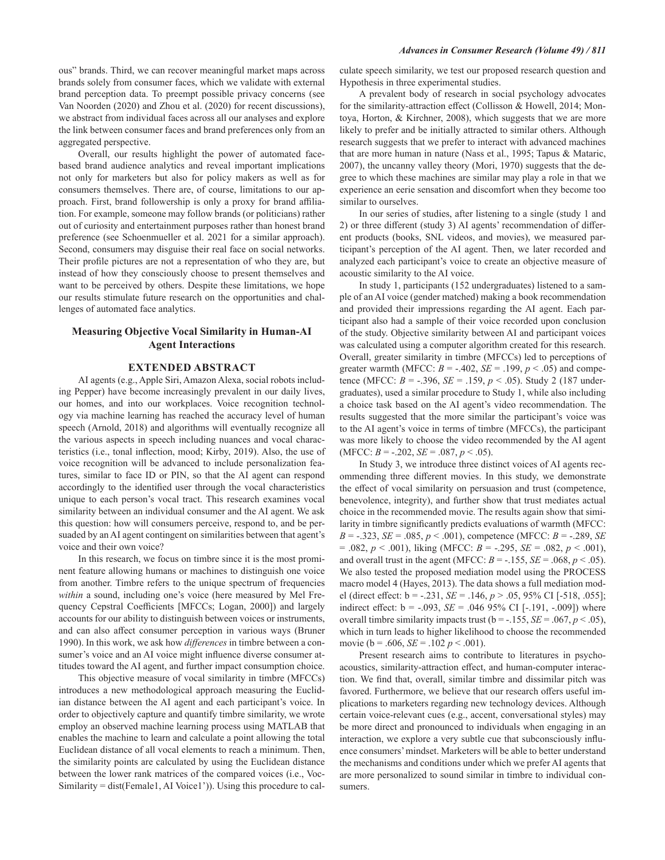ous" brands. Third, we can recover meaningful market maps across brands solely from consumer faces, which we validate with external brand perception data. To preempt possible privacy concerns (see Van Noorden (2020) and Zhou et al. (2020) for recent discussions), we abstract from individual faces across all our analyses and explore the link between consumer faces and brand preferences only from an aggregated perspective.

Overall, our results highlight the power of automated facebased brand audience analytics and reveal important implications not only for marketers but also for policy makers as well as for consumers themselves. There are, of course, limitations to our approach. First, brand followership is only a proxy for brand affiliation. For example, someone may follow brands (or politicians) rather out of curiosity and entertainment purposes rather than honest brand preference (see Schoenmueller et al. 2021 for a similar approach). Second, consumers may disguise their real face on social networks. Their profile pictures are not a representation of who they are, but instead of how they consciously choose to present themselves and want to be perceived by others. Despite these limitations, we hope our results stimulate future research on the opportunities and challenges of automated face analytics.

# **Measuring Objective Vocal Similarity in Human-AI Agent Interactions**

### **EXTENDED ABSTRACT**

AI agents (e.g., Apple Siri, Amazon Alexa, social robots including Pepper) have become increasingly prevalent in our daily lives, our homes, and into our workplaces. Voice recognition technology via machine learning has reached the accuracy level of human speech (Arnold, 2018) and algorithms will eventually recognize all the various aspects in speech including nuances and vocal characteristics (i.e., tonal inflection, mood; Kirby, 2019). Also, the use of voice recognition will be advanced to include personalization features, similar to face ID or PIN, so that the AI agent can respond accordingly to the identified user through the vocal characteristics unique to each person's vocal tract. This research examines vocal similarity between an individual consumer and the AI agent. We ask this question: how will consumers perceive, respond to, and be persuaded by an AI agent contingent on similarities between that agent's voice and their own voice?

In this research, we focus on timbre since it is the most prominent feature allowing humans or machines to distinguish one voice from another. Timbre refers to the unique spectrum of frequencies within a sound, including one's voice (here measured by Mel Frequency Cepstral Coefficients [MFCCs; Logan, 2000]) and largely accounts for our ability to distinguish between voices or instruments, and can also affect consumer perception in various ways (Bruner 1990). In this work, we ask how *differences* in timbre between a consumer's voice and an AI voice might influence diverse consumer attitudes toward the AI agent, and further impact consumption choice.

This objective measure of vocal similarity in timbre (MFCCs) introduces a new methodological approach measuring the Euclidian distance between the AI agent and each participant's voice. In order to objectively capture and quantify timbre similarity, we wrote employ an observed machine learning process using MATLAB that enables the machine to learn and calculate a point allowing the total Euclidean distance of all vocal elements to reach a minimum. Then, the similarity points are calculated by using the Euclidean distance between the lower rank matrices of the compared voices (i.e., Voc-Similarity = dist(Female1, AI Voice1')). Using this procedure to calculate speech similarity, we test our proposed research question and Hypothesis in three experimental studies.

A prevalent body of research in social psychology advocates for the similarity-attraction effect (Collisson & Howell, 2014; Montoya, Horton, & Kirchner, 2008), which suggests that we are more likely to prefer and be initially attracted to similar others. Although research suggests that we prefer to interact with advanced machines that are more human in nature (Nass et al., 1995; Tapus & Mataric, 2007), the uncanny valley theory (Mori, 1970) suggests that the degree to which these machines are similar may play a role in that we experience an eerie sensation and discomfort when they become too similar to ourselves.

In our series of studies, after listening to a single (study 1 and 2) or three different (study 3) AI agents' recommendation of different products (books, SNL videos, and movies), we measured participant's perception of the AI agent. Then, we later recorded and analyzed each participant's voice to create an objective measure of acoustic similarity to the AI voice.

In study 1, participants (152 undergraduates) listened to a sample of an AI voice (gender matched) making a book recommendation and provided their impressions regarding the AI agent. Each participant also had a sample of their voice recorded upon conclusion of the study. Objective similarity between AI and participant voices was calculated using a computer algorithm created for this research. Overall, greater similarity in timbre (MFCCs) led to perceptions of greater warmth (MFCC:  $B = -.402$ ,  $SE = .199$ ,  $p < .05$ ) and competence (MFCC:  $B = -.396$ ,  $SE = .159$ ,  $p < .05$ ). Study 2 (187 undergraduates), used a similar procedure to Study 1, while also including a choice task based on the AI agent's video recommendation. The results suggested that the more similar the participant's voice was to the AI agent's voice in terms of timbre (MFCCs), the participant was more likely to choose the video recommended by the AI agent (MFCC:  $B = -.202$ ,  $SE = .087$ ,  $p < .05$ ).

In Study 3, we introduce three distinct voices of AI agents recommending three different movies. In this study, we demonstrate the effect of vocal similarity on persuasion and trust (competence, benevolence, integrity), and further show that trust mediates actual choice in the recommended movie. The results again show that similarity in timbre significantly predicts evaluations of warmth (MFCC:  $B = -.323$ ,  $SE = .085$ ,  $p < .001$ ), competence (MFCC:  $B = -.289$ , SE  $= .082, p < .001$ , liking (MFCC:  $B = -.295, SE = .082, p < .001$ ), and overall trust in the agent (MFCC:  $B = -0.155$ ,  $SE = 0.068$ ,  $p < 0.05$ ). We also tested the proposed mediation model using the PROCESS macro model 4 (Hayes, 2013). The data shows a full mediation model (direct effect:  $b = -.231$ ,  $SE = .146$ ,  $p > .05$ , 95% CI [-518, .055]; indirect effect:  $b = -.093$ ,  $SE = .04695\%$  CI [-.191, -.009]) where overall timbre similarity impacts trust ( $b = -155$ ,  $SE = .067$ ,  $p < .05$ ), which in turn leads to higher likelihood to choose the recommended movie ( $b = .606$ ,  $SE = .102$   $p < .001$ ).

Present research aims to contribute to literatures in psychoacoustics, similarity-attraction effect, and human-computer interaction. We find that, overall, similar timbre and dissimilar pitch was favored. Furthermore, we believe that our research offers useful implications to marketers regarding new technology devices. Although certain voice-relevant cues (e.g., accent, conversational styles) may be more direct and pronounced to individuals when engaging in an interaction, we explore a very subtle cue that subconsciously influence consumers' mindset. Marketers will be able to better understand the mechanisms and conditions under which we prefer AI agents that are more personalized to sound similar in timbre to individual consumers.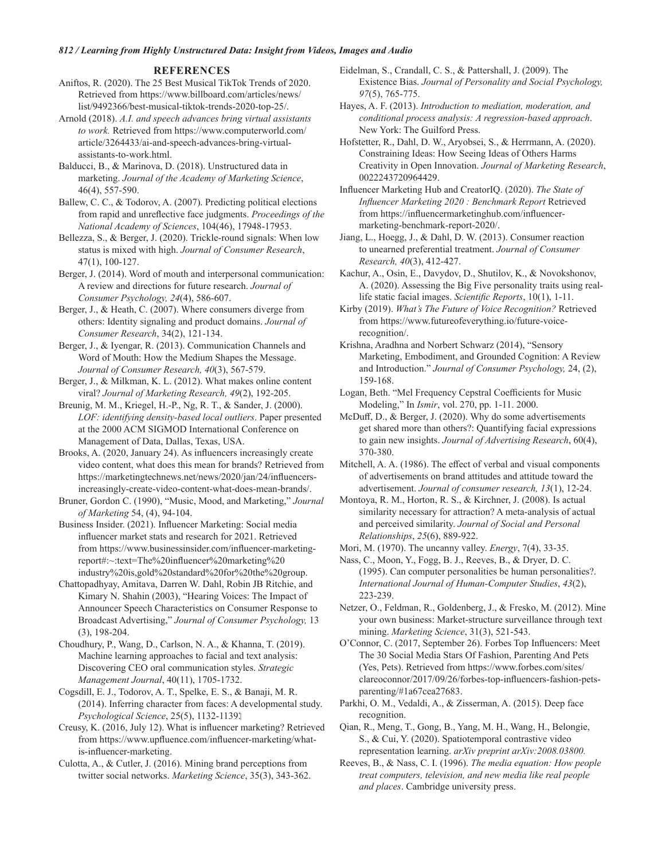### **REFERENCES**

Aniftos, R. (2020). The 25 Best Musical TikTok Trends of 2020. Retrieved from https://www.billboard.com/articles/news/ list/9492366/best-musical-tiktok-trends-2020-top-25/.

Arnold (2018). A.I. and speech advances bring virtual assistants to work. Retrieved from https://www.computerworld.com/ article/3264433/ai-and-speech-advances-bring-virtualassistants-to-work.html.

Balducci, B., & Marinova, D. (2018). Unstructured data in marketing. Journal of the Academy of Marketing Science, 46(4), 557-590.

Ballew, C. C., & Todorov, A. (2007). Predicting political elections from rapid and unreflective face judgments. Proceedings of the National Academy of Sciences, 104(46), 17948-17953.

Bellezza, S., & Berger, J. (2020). Trickle-round signals: When low status is mixed with high. Journal of Consumer Research,  $47(1), 100-127.$ 

Berger, J. (2014). Word of mouth and interpersonal communication: A review and directions for future research. Journal of Consumer Psychology, 24(4), 586-607.

Berger, J., & Heath, C. (2007). Where consumers diverge from others: Identity signaling and product domains. Journal of Consumer Research, 34(2), 121-134.

Berger, J., & Iyengar, R. (2013). Communication Channels and Word of Mouth: How the Medium Shapes the Message. Journal of Consumer Research, 40(3), 567-579.

Berger, J., & Milkman, K. L. (2012). What makes online content viral? Journal of Marketing Research, 49(2), 192-205.

Breunig, M. M., Kriegel, H.-P., Ng, R. T., & Sander, J. (2000). LOF: identifying density-based local outliers. Paper presented at the 2000 ACM SIGMOD International Conference on Management of Data, Dallas, Texas, USA.

Brooks, A. (2020, January 24). As influencers increasingly create video content, what does this mean for brands? Retrieved from https://marketingtechnews.net/news/2020/jan/24/influencersincreasingly-create-video-content-what-does-mean-brands/.

Bruner, Gordon C. (1990), "Music, Mood, and Marketing," Journal of Marketing 54, (4), 94-104.

Business Insider. (2021). Influencer Marketing: Social media influencer market stats and research for 2021. Retrieved from https://www.businessinsider.com/influencer-marketingreport#:~:text=The%20influencer%20marketing%20 industry%20is,gold%20standard%20for%20the%20group.

Chattopadhyay, Amitava, Darren W. Dahl, Robin JB Ritchie, and Kimary N. Shahin (2003), "Hearing Voices: The Impact of Announcer Speech Characteristics on Consumer Response to Broadcast Advertising," Journal of Consumer Psychology, 13  $(3), 198-204.$ 

Choudhury, P., Wang, D., Carlson, N. A., & Khanna, T. (2019). Machine learning approaches to facial and text analysis: Discovering CEO oral communication styles. Strategic Management Journal, 40(11), 1705-1732.

Cogsdill, E. J., Todorov, A. T., Spelke, E. S., & Banaji, M. R. (2014). Inferring character from faces: A developmental study. Psychological Science, 25(5), 1132-11391

Creusy, K. (2016, July 12). What is influencer marketing? Retrieved from https://www.upfluence.com/influencer-marketing/whatis-influencer-marketing.

Culotta, A., & Cutler, J. (2016). Mining brand perceptions from twitter social networks. Marketing Science, 35(3), 343-362. Eidelman, S., Crandall, C. S., & Pattershall, J. (2009). The Existence Bias. Journal of Personality and Social Psychology,  $97(5)$ , 765-775.

Hayes, A. F. (2013). Introduction to mediation, moderation, and conditional process analysis: A regression-based approach. New York: The Guilford Press.

Hofstetter, R., Dahl, D. W., Aryobsei, S., & Herrmann, A. (2020). Constraining Ideas: How Seeing Ideas of Others Harms Creativity in Open Innovation. Journal of Marketing Research, 0022243720964429.

Influencer Marketing Hub and CreatorIQ. (2020). The State of Influencer Marketing 2020 : Benchmark Report Retrieved from https://influencermarketinghub.com/influencermarketing-benchmark-report-2020/.

Jiang, L., Hoegg, J., & Dahl, D. W. (2013). Consumer reaction to unearned preferential treatment. Journal of Consumer Research, 40(3), 412-427.

Kachur, A., Osin, E., Davydov, D., Shutilov, K., & Novokshonov, A. (2020). Assessing the Big Five personality traits using reallife static facial images. Scientific Reports, 10(1), 1-11.

Kirby (2019). What's The Future of Voice Recognition? Retrieved from https://www.futureofeverything.io/future-voicerecognition/.

Krishna, Aradhna and Norbert Schwarz (2014), "Sensory Marketing, Embodiment, and Grounded Cognition: A Review and Introduction." Journal of Consumer Psychology, 24, (2), 159-168.

Logan, Beth. "Mel Frequency Cepstral Coefficients for Music Modeling," In *Ismir*, vol. 270, pp. 1-11. 2000.

McDuff, D., & Berger, J. (2020). Why do some advertisements get shared more than others?: Quantifying facial expressions to gain new insights. Journal of Advertising Research, 60(4), 370-380.

Mitchell, A. A. (1986). The effect of verbal and visual components of advertisements on brand attitudes and attitude toward the advertisement. Journal of consumer research, 13(1), 12-24.

Montoya, R. M., Horton, R. S., & Kirchner, J. (2008). Is actual similarity necessary for attraction? A meta-analysis of actual and perceived similarity. Journal of Social and Personal Relationships, 25(6), 889-922.

Mori, M. (1970). The uncanny valley. *Energy*, 7(4), 33-35.

Nass, C., Moon, Y., Fogg, B. J., Reeves, B., & Dryer, D. C. (1995). Can computer personalities be human personalities?. International Journal of Human-Computer Studies, 43(2), 223-239.

Netzer, O., Feldman, R., Goldenberg, J., & Fresko, M. (2012). Mine your own business: Market-structure surveillance through text mining. Marketing Science, 31(3), 521-543.

O'Connor, C. (2017, September 26). Forbes Top Influencers: Meet The 30 Social Media Stars Of Fashion, Parenting And Pets (Yes, Pets). Retrieved from https://www.forbes.com/sites/ clareoconnor/2017/09/26/forbes-top-influencers-fashion-petsparenting/#1a67cea27683.

Parkhi, O. M., Vedaldi, A., & Zisserman, A. (2015). Deep face recognition.

Qian, R., Meng, T., Gong, B., Yang, M. H., Wang, H., Belongie, S., & Cui, Y. (2020). Spatiotemporal contrastive video representation learning. arXiv preprint arXiv:2008.03800.

Reeves, B., & Nass, C. I. (1996). The media equation: How people treat computers, television, and new media like real people and places. Cambridge university press.